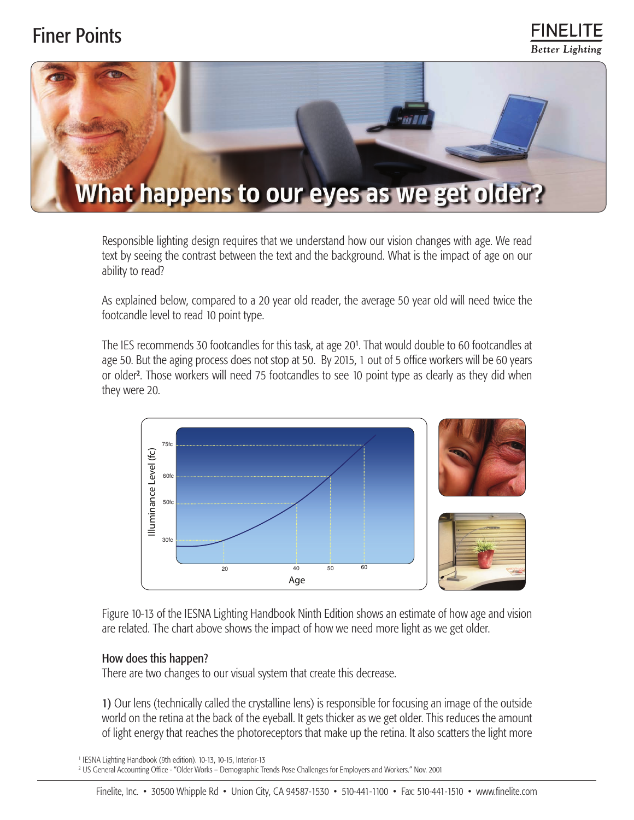## Finer Points





Responsible lighting design requires that we understand how our vision changes with age. We read text by seeing the contrast between the text and the background. What is the impact of age on our ability to read?

As explained below, compared to a 20 year old reader, the average 50 year old will need twice the footcandle level to read 10 point type.

The IES recommends 30 footcandles for this task, at age 201 . That would double to 60 footcandles at age 50. But the aging process does not stop at 50. By 2015, 1 out of 5 office workers will be 60 years or older2 . Those workers will need 75 footcandles to see 10 point type as clearly as they did when they were 20.



Figure 10-13 of the IESNA Lighting Handbook Ninth Edition shows an estimate of how age and vision are related. The chart above shows the impact of how we need more light as we get older.

## How does this happen?

There are two changes to our visual system that create this decrease.

1) Our lens (technically called the crystalline lens) is responsible for focusing an image of the outside world on the retina at the back of the eyeball. It gets thicker as we get older. This reduces the amount of light energy that reaches the photoreceptors that make up the retina. It also scatters the light more

<sup>1</sup> IESNA Lighting Handbook (9th edition). 10-13, 10-15, Interior-13 <sup>2</sup> US General Accounting Office - "Older Works – Demographic Trends Pose Challenges for Employers and Workers." Nov. 2001